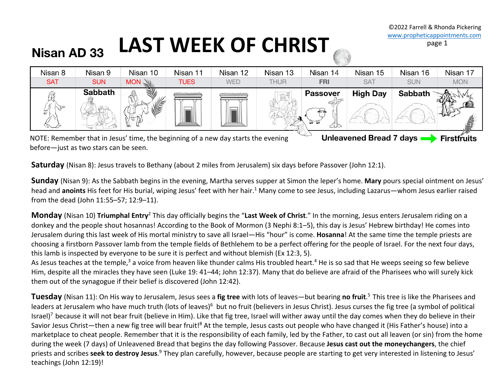### LAST WEEK OF CHRIST Nisan AD 33



before—just as two stars can be seen.

**Saturday** (Nisan 8): Jesus travels to Bethany (about 2 miles from Jerusalem) six days before Passover (John 12:1).

**Sunday** (Nisan 9): As the Sabbath begins in the evening, Martha serves supper at Simon the leper's home. **Mary** pours special ointment on Jesus' head and **anoints** His feet for His burial, wiping Jesus' feet with her hair.<sup>1</sup> Many come to see Jesus, including Lazarus—whom Jesus earlier raised from the dead (John 11:55–57; 12:9–11).

**Monday** (Nisan 10) **Triumphal Entry**<sup>2</sup> This day officially begins the "**Last Week of Christ**." In the morning, Jesus enters Jerusalem riding on a donkey and the people shout hosannas! According to the Book of Mormon (3 Nephi 8:1–5), this day is Jesus' Hebrew birthday! He comes into Jerusalem during this last week of His mortal ministry to save all Israel—His "hour" is come. **Hosanna**! At the same time the temple priests are choosing a firstborn Passover lamb from the temple fields of Bethlehem to be a perfect offering for the people of Israel. For the next four days, this lamb is inspected by everyone to be sure it is perfect and without blemish (Ex 12:3, 5).

As Jesus teaches at the temple,<sup>3</sup> a voice from heaven like thunder calms His troubled heart.<sup>4</sup> He is so sad that He weeps seeing so few believe Him, despite all the miracles they have seen (Luke 19: 41–44; John 12:37). Many that do believe are afraid of the Pharisees who will surely kick them out of the synagogue if their belief is discovered (John 12:42).

**Tuesday** (Nisan 11): On His way to Jerusalem, Jesus sees a **fig tree** with lots of leaves—but bearing **no fruit**. 5 This tree is like the Pharisees and leaders at Jerusalem who have much truth (lots of leaves)<sup>6</sup> but no fruit (believers in Jesus Christ). Jesus curses the fig tree (a symbol of political Israel)<sup>7</sup> because it will not bear fruit (believe in Him). Like that fig tree, Israel will wither away until the day comes when they do believe in their Savior Jesus Christ—then a new fig tree will bear fruit!<sup>8</sup> At the temple, Jesus casts out people who have changed it (His Father's house) into a marketplace to cheat people. Remember that it is the responsibility of each family, led by the Father, to cast out all leaven (or sin) from the home during the week (7 days) of Unleavened Bread that begins the day following Passover. Because **Jesus cast out the moneychangers**, the chief priests and scribes seek to destroy Jesus.<sup>9</sup> They plan carefully, however, because people are starting to get very interested in listening to Jesus' teachings (John 12:19)!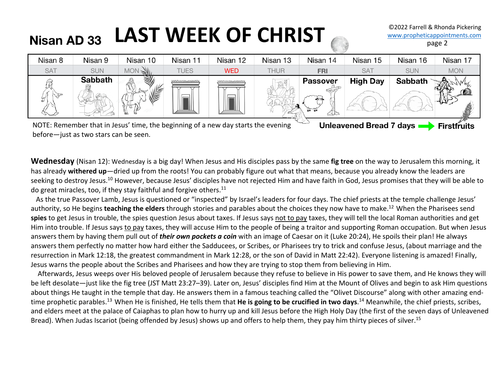## Nisan AD 33 LAST WEEK OF CHRIST

| Nisan 8    | Nisan 9        | Nisan 10 | Nisan 11        | Nisan 12   | Nisan 13 | Nisan 14                                 | Nisan 15        | Nisan 16       | Nisan 17   |
|------------|----------------|----------|-----------------|------------|----------|------------------------------------------|-----------------|----------------|------------|
| <b>SAT</b> | <b>SUN</b>     | MON      | <b>TUES</b>     | <b>WED</b> | THUR     | <b>FRI</b>                               | <b>SAT</b>      | <b>SUN</b>     | <b>MON</b> |
| IJ         | <b>Sabbath</b> |          | <u>MMMMMMMM</u> | mmmmmmm    |          | <b>Passover</b><br>$\overline{1}$<br>ala | <b>High Day</b> | <b>Sabbath</b> |            |

NOTE: Remember that in Jesus' time, the beginning of a new day starts the evening before—just as two stars can be seen.

Unleavened Bread 7 days **State** First fruits

**Wednesday** (Nisan 12): Wednesday is a big day! When Jesus and His disciples pass by the same **fig tree** on the way to Jerusalem this morning, it has already **withered up**—dried up from the roots! You can probably figure out what that means, because you already know the leaders are seeking to destroy Jesus.<sup>10</sup> However, because Jesus' disciples have not rejected Him and have faith in God, Jesus promises that they will be able to do great miracles, too, if they stay faithful and forgive others. $11$ 

 As the true Passover Lamb, Jesus is questioned or "inspected" by Israel's leaders for four days. The chief priests at the temple challenge Jesus' authority, so He begins **teaching the elders** through stories and parables about the choices they now have to make.12 When the Pharisees send spies to get Jesus in trouble, the spies question Jesus about taxes. If Jesus says not to pay taxes, they will tell the local Roman authorities and get Him into trouble. If Jesus says to pay taxes, they will accuse Him to the people of being a traitor and supporting Roman occupation. But when Jesus answers them by having them pull out of *their own pockets a coin* with an image of Caesar on it (Luke 20:24), He spoils their plan! He always answers them perfectly no matter how hard either the Sadducees, or Scribes, or Pharisees try to trick and confuse Jesus, (about marriage and the resurrection in Mark 12:18, the greatest commandment in Mark 12:28, or the son of David in Matt 22:42). Everyone listening is amazed! Finally, Jesus warns the people about the Scribes and Pharisees and how they are trying to stop them from believing in Him.

 Afterwards, Jesus weeps over His beloved people of Jerusalem because they refuse to believe in His power to save them, and He knows they will be left desolate—just like the fig tree (JST Matt 23:27–39). Later on, Jesus' disciples find Him at the Mount of Olives and begin to ask Him questions about things He taught in the temple that day. He answers them in a famous teaching called the "Olivet Discourse" along with other amazing endtime prophetic parables.13 When He is finished, He tells them that **He is going to be crucified in two days**. <sup>14</sup> Meanwhile, the chief priests, scribes, and elders meet at the palace of Caiaphas to plan how to hurry up and kill Jesus before the High Holy Day (the first of the seven days of Unleavened Bread). When Judas Iscariot (being offended by Jesus) shows up and offers to help them, they pay him thirty pieces of silver.<sup>15</sup>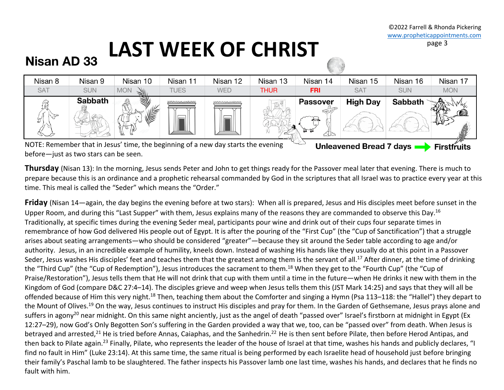# **LAST WEEK OF CHRIST**

### Nisan AD 33



NOTE: Remember that in Jesus' time, the beginning of a new day starts the evening Unleavened Bread 7 days -**Firstfruits** before—just as two stars can be seen.

**Thursday** (Nisan 13): In the morning, Jesus sends Peter and John to get things ready for the Passover meal later that evening. There is much to prepare because this is an ordinance and a prophetic rehearsal commanded by God in the scriptures that all Israel was to practice every year at this time. This meal is called the "Seder" which means the "Order."

**Friday** (Nisan 14—again, the day begins the evening before at two stars): When all is prepared, Jesus and His disciples meet before sunset in the Upper Room, and during this "Last Supper" with them, Jesus explains many of the reasons they are commanded to observe this Day.<sup>16</sup> Traditionally, at specific times during the evening Seder meal, participants pour wine and drink out of their cups four separate times in remembrance of how God delivered His people out of Egypt. It is after the pouring of the "First Cup" (the "Cup of Sanctification") that a struggle arises about seating arrangements—who should be considered "greater"—because they sit around the Seder table according to age and/or authority. Jesus, in an incredible example of humility, kneels down. Instead of washing His hands like they usually do at this point in a Passover Seder, Jesus washes His disciples' feet and teaches them that the greatest among them is the servant of all.<sup>17</sup> After dinner, at the time of drinking the "Third Cup" (the "Cup of Redemption"), Jesus introduces the sacrament to them.<sup>18</sup> When they get to the "Fourth Cup" (the "Cup of Praise/Restoration"), Jesus tells them that He will not drink that cup with them until a time in the future—when He drinks it new with them in the Kingdom of God (compare D&C 27:4–14). The disciples grieve and weep when Jesus tells them this (JST Mark 14:25) and says that they will all be offended because of Him this very night.<sup>18</sup> Then, teaching them about the Comforter and singing a Hymn (Psa 113–118: the "Hallel") they depart to the Mount of Olives.<sup>19</sup> On the way, Jesus continues to instruct His disciples and pray for them. In the Garden of Gethsemane, Jesus prays alone and suffers in agony<sup>20</sup> near midnight. On this same night anciently, just as the angel of death "passed over" Israel's firstborn at midnight in Egypt (Ex 12:27–29), now God's Only Begotten Son's suffering in the Garden provided a way that we, too, can be "passed over" from death. When Jesus is betrayed and arrested,<sup>21</sup> He is tried before Annas, Caiaphas, and the Sanhedrin.<sup>22</sup> He is then sent before Pilate, then before Herod Antipas, and then back to Pilate again.<sup>23</sup> Finally, Pilate, who represents the leader of the house of Israel at that time, washes his hands and publicly declares, "I find no fault in Him" (Luke 23:14). At this same time, the same ritual is being performed by each Israelite head of household just before bringing their family's Paschal lamb to be slaughtered. The father inspects his Passover lamb one last time, washes his hands, and declares that he finds no fault with him.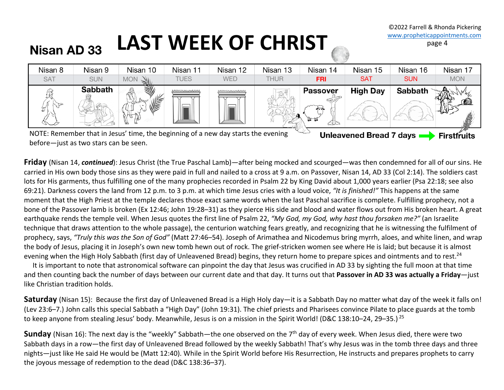#### LAST WEEK OF CHRIST **Nisan AD 33**



NOTE: Remember that in Jesus' time, the beginning of a new day starts the evening before—just as two stars can be seen.

**Friday** (Nisan 14, *continued*): Jesus Christ (the True Paschal Lamb)—after being mocked and scourged—was then condemned for all of our sins. He carried in His own body those sins as they were paid in full and nailed to a cross at 9 a.m. on Passover, Nisan 14, AD 33 (Col 2:14). The soldiers cast lots for His garments, thus fulfilling one of the many prophecies recorded in Psalm 22 by King David about 1,000 years earlier (Psa 22:18; see also 69:21). Darkness covers the land from 12 p.m. to 3 p.m. at which time Jesus cries with a loud voice, *"It is finished!"* This happens at the same moment that the High Priest at the temple declares those exact same words when the last Paschal sacrifice is complete. Fulfilling prophecy, not a bone of the Passover lamb is broken (Ex 12:46; John 19:28–31) as they pierce His side and blood and water flows out from His broken heart. A great earthquake rends the temple veil. When Jesus quotes the first line of Psalm 22, *"My God, my God, why hast thou forsaken me?"* (an Israelite technique that draws attention to the whole passage), the centurion watching fears greatly, and recognizing that he is witnessing the fulfilment of prophecy, says, *"Truly this was the Son of God"* (Matt 27:46–54). Joseph of Arimathea and Nicodemus bring myrrh, aloes, and white linen, and wrap the body of Jesus, placing it in Joseph's own new tomb hewn out of rock. The grief-stricken women see where He is laid; but because it is almost evening when the High Holy Sabbath (first day of Unleavened Bread) begins, they return home to prepare spices and ointments and to rest.<sup>24</sup>

 It is important to note that astronomical software can pinpoint the day that Jesus was crucified in AD 33 by sighting the full moon at that time and then counting back the number of days between our current date and that day. It turns out that **Passover in AD 33 was actually a Friday**—just like Christian tradition holds.

**Saturday** (Nisan 15): Because the first day of Unleavened Bread is a High Holy day—it is a Sabbath Day no matter what day of the week it falls on! (Lev 23:6–7.) John calls this special Sabbath a "High Day" (John 19:31). The chief priests and Pharisees convince Pilate to place guards at the tomb to keep anyone from stealing Jesus' body. Meanwhile, Jesus is on a mission in the Spirit World! (D&C 138:10–24, 29–35.)  $^{25}$ 

**Sunday** (Nisan 16): The next day is the "weekly" Sabbath—the one observed on the 7<sup>th</sup> day of every week. When Jesus died, there were two Sabbath days in a row—the first day of Unleavened Bread followed by the weekly Sabbath! That's why Jesus was in the tomb three days and three nights—just like He said He would be (Matt 12:40). While in the Spirit World before His Resurrection, He instructs and prepares prophets to carry the joyous message of redemption to the dead (D&C 138:36–37).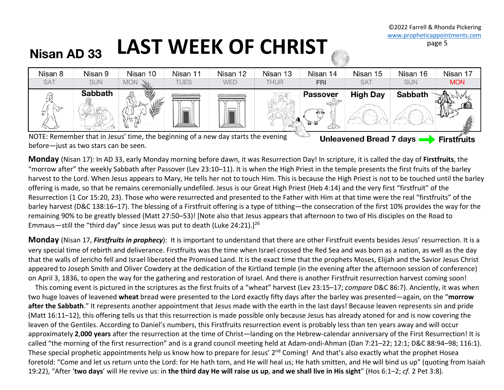#### LAST WEEK OF CHRIST **Nisan AD 33**



before—just as two stars can be seen.

**Monday** (Nisan 17): In AD 33, early Monday morning before dawn, it was Resurrection Day! In scripture, it is called the day of **Firstfruits**, the "morrow after" the weekly Sabbath after Passover (Lev 23:10–11). It is when the High Priest in the temple presents the first fruits of the barley harvest to the Lord. When Jesus appears to Mary, He tells her not to touch Him. This is because the High Priest is not to be touched until the barley offering is made, so that he remains ceremonially undefiled. Jesus is our Great High Priest (Heb 4:14) and the very first "firstfruit" of the Resurrection (1 Cor 15:20, 23). Those who were resurrected and presented to the Father with Him at that time were the real "firstfruits" of the barley harvest (D&C 138:16–17). The blessing of a Firstfruit offering is a type of tithing—the consecration of the first 10% provides the way for the remaining 90% to be greatly blessed (Matt 27:50–53)! [Note also that Jesus appears that afternoon to two of His disciples on the Road to Emmaus—still the "third day" since Jesus was put to death (Luke 24:21).]26

**Monday** (Nisan 17, *Firstfruits in prophecy*): It is important to understand that there are other Firstfruit events besides Jesus' resurrection. It is a very special time of rebirth and deliverance. Firstfruits was the time when Israel crossed the Red Sea and was born as a nation, as well as the day that the walls of Jericho fell and Israel liberated the Promised Land. It is the exact time that the prophets Moses, Elijah and the Savior Jesus Christ appeared to Joseph Smith and Oliver Cowdery at the dedication of the Kirtland temple (in the evening after the afternoon session of conference) on April 3, 1836, to open the way for the gathering and restoration of Israel. And there is another Firstfruit resurrection harvest coming soon!

 This coming event is pictured in the scriptures as the first fruits of a "wheat" harvest (Lev 23:15–17; *compare* D&C 86:7). Anciently, it was when two huge loaves of leavened **wheat** bread were presented to the Lord exactly fifty days after the barley was presented—again, on the "**morrow**  after the Sabbath." It represents another appointment that Jesus made with the earth in the last days! Because leaven represents sin and pride (Matt 16:11–12), this offering tells us that this resurrection is made possible only because Jesus has already atoned for and is now covering the leaven of the Gentiles. According to Daniel's numbers, this Firstfruits resurrection event is probably less than ten years away and will occur approximately **2**,**000 years** after the resurrection at the time of Christ—landing on the Hebrew-calendar anniversary of the First Resurrection! It is called "the morning of the first resurrection" and is a grand council meeting held at Adam-ondi-Ahman (Dan 7:21–22; 12:1; D&C 88:94–98; 116:1). These special prophetic appointments help us know how to prepare for Jesus' 2<sup>nd</sup> Coming! And that's also exactly what the prophet Hosea foretold: "Come and let us return unto the Lord: for He hath torn, and He will heal us; He hath smitten, and He will bind us up" (quoting from Isaiah 19:22), "After '**two days**' will He revive us: in **the third day He will raise us up**, **and we shall live in His sight**" (Hos 6:1–2; *cf.* 2 Pet 3:8).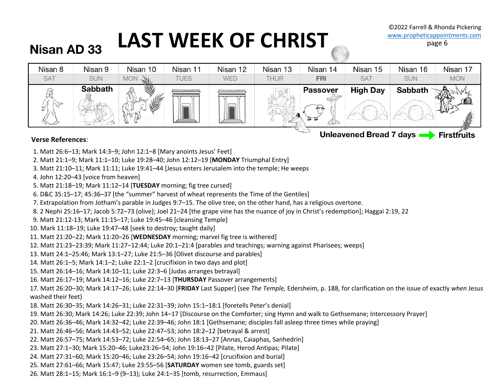# LAST WEEK OF CHRIST WWW.propheticappointments.com

### **Nisan AD 33**



#### **Verse References**:

- 1. Matt 26:6–13; Mark 14:3–9; John 12:1–8 [Mary anoints Jesus' Feet]
- 2. Matt 21:1–9; Mark 11:1–10; Luke 19:28–40; John 12:12–19 [**MONDAY** Triumphal Entry]
- 3. Matt 21:10–11; Mark 11:11; Luke 19:41–44 [Jesus enters Jerusalem into the temple; He weeps
- 4. John 12:20–43 [voice from heaven]
- 5. Matt 21:18–19; Mark 11:12–14 [**TUESDAY** morning; fig tree cursed]
- 6. D&C 35:15–17; 45:36–37 [the "summer" harvest of wheat represents the Time of the Gentiles]
- 7. Extrapolation from Jotham's parable in Judges 9:7–15. The olive tree, on the other hand, has a religious overtone.
- 8. 2 Nephi 25:16–17; Jacob 5:72–73 (olive); Joel 21–24 [the grape vine has the nuance of joy in Christ's redemption]; Haggai 2:19, 22
- 9. Matt 21:12-13; Mark 11:15–17; Luke 19:45–46 [cleansing Temple]
- 10. Mark 11:18–19; Luke 19:47–48 [seek to destroy; taught daily]
- 11. Matt 21:20–22; Mark 11:20–26 [**WEDNESDAY** morning; marvel fig tree is withered]
- 12. Matt 21:23–23:39; Mark 11:27–12:44; Luke 20:1–21:4 [parables and teachings; warning against Pharisees; weeps]
- 13. Matt 24:1–25:46; Mark 13:1–27; Luke 21:5–36 [Olivet discourse and parables]
- 14. Matt 26:1–5; Mark 14:1–2; Luke 22:1–2 [crucifixion in two days and plot]
- 15. Matt 26:14–16; Mark 14:10–11; Luke 22:3–6 [Judas arranges betrayal]
- 16. Matt 26:17–19; Mark 14:12–16; Luke 22:7–13 [**THURSDAY** Passover arrangements]
- 17. Matt 26:20–30; Mark 14:17–26; Luke 22:14–30 [**FRIDAY** Last Supper] (see *The Temple,* Edersheim, p. 188, for clarification on the issue of exactly *when* Jesus washed their feet)
- 18. Matt 26:30–35; Mark 14:26–31; Luke 22:31–39; John 15:1–18:1 [foretells Peter's denial]
- 19. Matt 26:30; Mark 14:26; Luke 22:39; John 14–17 [Discourse on the Comforter; sing Hymn and walk to Gethsemane; Intercessory Prayer]
- 20. Matt 26:36–46; Mark 14:32–42; Luke 22:39–46; John 18:1 [Gethsemane; disciples fall asleep three times while praying]
- 21. Matt 26:46–56; Mark 14:43–52; Luke 22:47–53; John 18:2–12 [betrayal & arrest]
- 22. Matt 26:57–75; Mark 14:53–72; Luke 22:54–65; John 18:13–27 [Annas, Caiaphas, Sanhedrin]
- 23. Matt 27:1–30; Mark 15:20–46; Luke23:26–54; John 19:16–42 [Pilate, Herod Antipas; Pilate]
- 24. Matt 27:31–60; Mark 15:20–46; Luke 23:26–54; John 19:16–42 [crucifixion and burial]
- 25. Matt 27:61–66; Mark 15:47; Luke 23:55–56 [**SATURDAY** women see tomb, guards set]
- 26. Matt 28:1–15; Mark 16:1–9 (9–13); Luke 24:1–35 [tomb, resurrection, Emmaus]